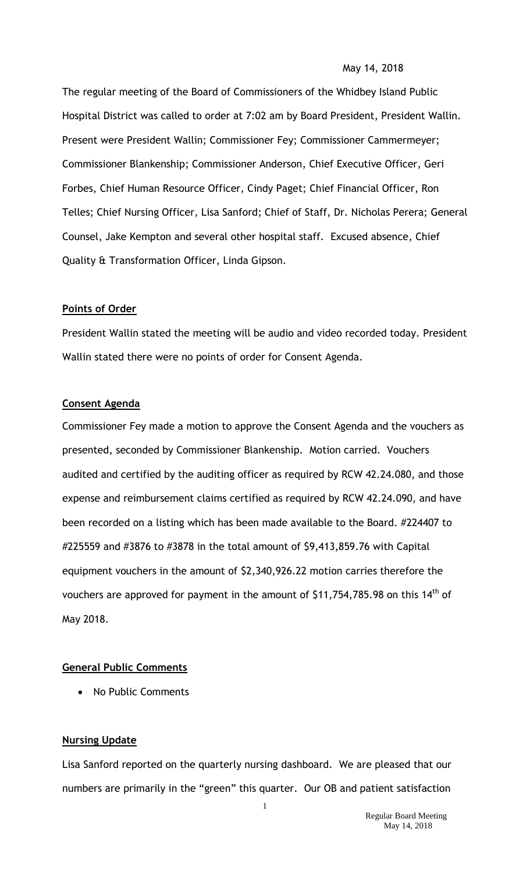#### May 14, 2018

The regular meeting of the Board of Commissioners of the Whidbey Island Public Hospital District was called to order at 7:02 am by Board President, President Wallin. Present were President Wallin; Commissioner Fey; Commissioner Cammermeyer; Commissioner Blankenship; Commissioner Anderson, Chief Executive Officer, Geri Forbes, Chief Human Resource Officer, Cindy Paget; Chief Financial Officer, Ron Telles; Chief Nursing Officer, Lisa Sanford; Chief of Staff, Dr. Nicholas Perera; General Counsel, Jake Kempton and several other hospital staff. Excused absence, Chief Quality & Transformation Officer, Linda Gipson.

### **Points of Order**

President Wallin stated the meeting will be audio and video recorded today. President Wallin stated there were no points of order for Consent Agenda.

#### **Consent Agenda**

Commissioner Fey made a motion to approve the Consent Agenda and the vouchers as presented, seconded by Commissioner Blankenship. Motion carried. Vouchers audited and certified by the auditing officer as required by RCW 42.24.080, and those expense and reimbursement claims certified as required by RCW 42.24.090, and have been recorded on a listing which has been made available to the Board. #224407 to #225559 and #3876 to #3878 in the total amount of \$9,413,859.76 with Capital equipment vouchers in the amount of \$2,340,926.22 motion carries therefore the vouchers are approved for payment in the amount of \$11,754,785.98 on this  $14<sup>th</sup>$  of May 2018.

### **General Public Comments**

• No Public Comments

## **Nursing Update**

Lisa Sanford reported on the quarterly nursing dashboard. We are pleased that our numbers are primarily in the "green" this quarter. Our OB and patient satisfaction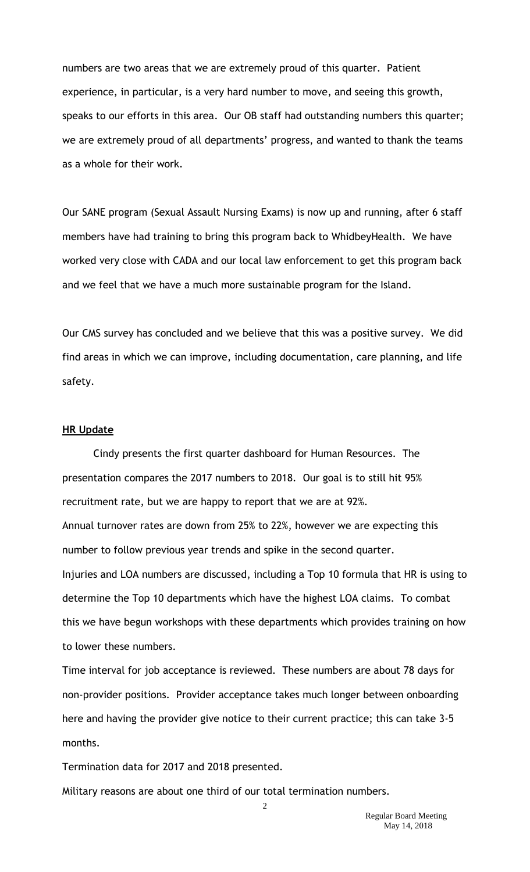numbers are two areas that we are extremely proud of this quarter. Patient experience, in particular, is a very hard number to move, and seeing this growth, speaks to our efforts in this area. Our OB staff had outstanding numbers this quarter; we are extremely proud of all departments' progress, and wanted to thank the teams as a whole for their work.

Our SANE program (Sexual Assault Nursing Exams) is now up and running, after 6 staff members have had training to bring this program back to WhidbeyHealth. We have worked very close with CADA and our local law enforcement to get this program back and we feel that we have a much more sustainable program for the Island.

Our CMS survey has concluded and we believe that this was a positive survey. We did find areas in which we can improve, including documentation, care planning, and life safety.

#### **HR Update**

Cindy presents the first quarter dashboard for Human Resources. The presentation compares the 2017 numbers to 2018. Our goal is to still hit 95% recruitment rate, but we are happy to report that we are at 92%. Annual turnover rates are down from 25% to 22%, however we are expecting this number to follow previous year trends and spike in the second quarter. Injuries and LOA numbers are discussed, including a Top 10 formula that HR is using to determine the Top 10 departments which have the highest LOA claims. To combat this we have begun workshops with these departments which provides training on how to lower these numbers.

Time interval for job acceptance is reviewed. These numbers are about 78 days for non-provider positions. Provider acceptance takes much longer between onboarding here and having the provider give notice to their current practice; this can take 3-5 months.

Termination data for 2017 and 2018 presented.

Military reasons are about one third of our total termination numbers.

2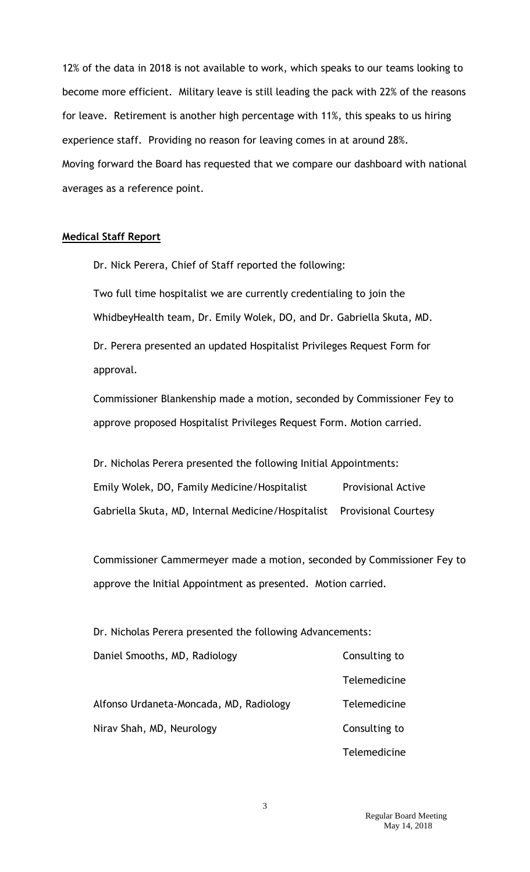12% of the data in 2018 is not available to work, which speaks to our teams looking to become more efficient. Military leave is still leading the pack with 22% of the reasons for leave. Retirement is another high percentage with 11%, this speaks to us hiring experience staff. Providing no reason for leaving comes in at around 28%. Moving forward the Board has requested that we compare our dashboard with national averages as a reference point.

#### **Medical Staff Report**

Dr. Nick Perera, Chief of Staff reported the following:

 Two full time hospitalist we are currently credentialing to join the WhidbeyHealth team, Dr. Emily Wolek, DO, and Dr. Gabriella Skuta, MD.

Dr. Perera presented an updated Hospitalist Privileges Request Form for approval.

Commissioner Blankenship made a motion, seconded by Commissioner Fey to approve proposed Hospitalist Privileges Request Form. Motion carried.

Dr. Nicholas Perera presented the following Initial Appointments: Emily Wolek, DO, Family Medicine/Hospitalist Provisional Active Gabriella Skuta, MD, Internal Medicine/Hospitalist Provisional Courtesy

Commissioner Cammermeyer made a motion, seconded by Commissioner Fey to approve the Initial Appointment as presented. Motion carried.

Dr. Nicholas Perera presented the following Advancements: Daniel Smooths, MD, Radiology Consulting to

Alfonso Urdaneta-Moncada, MD, Radiology Telemedicine Nirav Shah, MD, Neurology **Consulting to** 

**Telemedicine** Telemedicine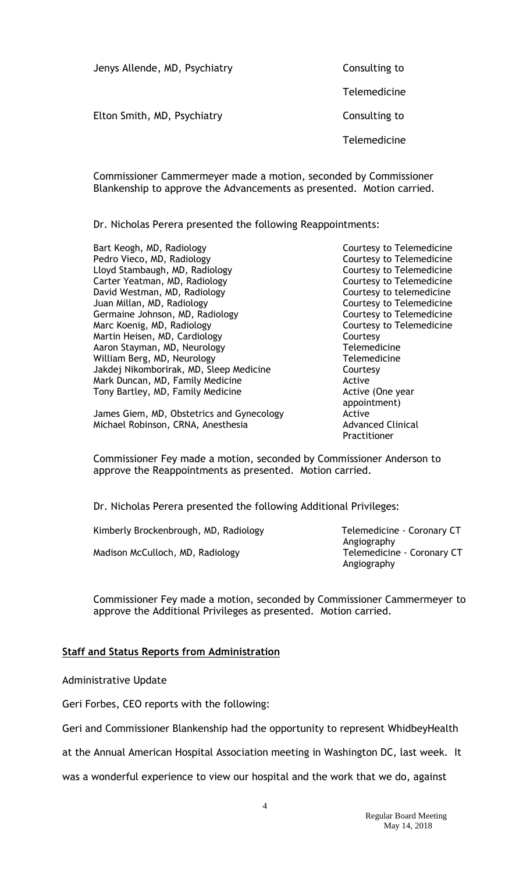| Jenys Allende, MD, Psychiatry | Consulting to |
|-------------------------------|---------------|
|                               | Telemedicine  |
| Elton Smith, MD, Psychiatry   | Consulting to |
|                               | Telemedicine  |
|                               |               |

Commissioner Cammermeyer made a motion, seconded by Commissioner Blankenship to approve the Advancements as presented. Motion carried.

Dr. Nicholas Perera presented the following Reappointments:

Bart Keogh, MD, Radiology **Courtesy to Telemedicine** Pedro Vieco, MD, Radiology **Courtesy to Telemedicine** Lloyd Stambaugh, MD, Radiology Courtesy to Telemedicine Carter Yeatman, MD, Radiology Carter Courtesy to Telemedicine David Westman, MD, Radiology **Courtesy to telemedicine** Juan Millan, MD, Radiology **Courtesy to Telemedicine** Germaine Johnson, MD, Radiology **Courtesy to Telemedicine** Marc Koenig, MD, Radiology **Courtesy to Telemedicine** Martin Heisen, MD, Cardiology Courtesy Aaron Stayman, MD, Neurology Telemedicine William Berg, MD, Neurology Telemedicine Jakdej Nikomborirak, MD, Sleep Medicine Courtesy Mark Duncan, MD, Family Medicine **Active** Active Tony Bartley, MD, Family Medicine **Active (One year** Active (One year

James Giem, MD, Obstetrics and Gynecology **Active** Active Michael Robinson, CRNA, Anesthesia **Advanced Clinical** Advanced Clinical

appointment) Practitioner

Commissioner Fey made a motion, seconded by Commissioner Anderson to approve the Reappointments as presented. Motion carried.

Dr. Nicholas Perera presented the following Additional Privileges:

| Kimberly Brockenbrough, MD, Radiology |  |
|---------------------------------------|--|
| Madison McCulloch, MD, Radiology      |  |

Telemedicine - Coronary CT Angiography Telemedicine - Coronary CT Angiography

Commissioner Fey made a motion, seconded by Commissioner Cammermeyer to approve the Additional Privileges as presented. Motion carried.

## **Staff and Status Reports from Administration**

Administrative Update

Geri Forbes, CEO reports with the following:

Geri and Commissioner Blankenship had the opportunity to represent WhidbeyHealth

at the Annual American Hospital Association meeting in Washington DC, last week. It

was a wonderful experience to view our hospital and the work that we do, against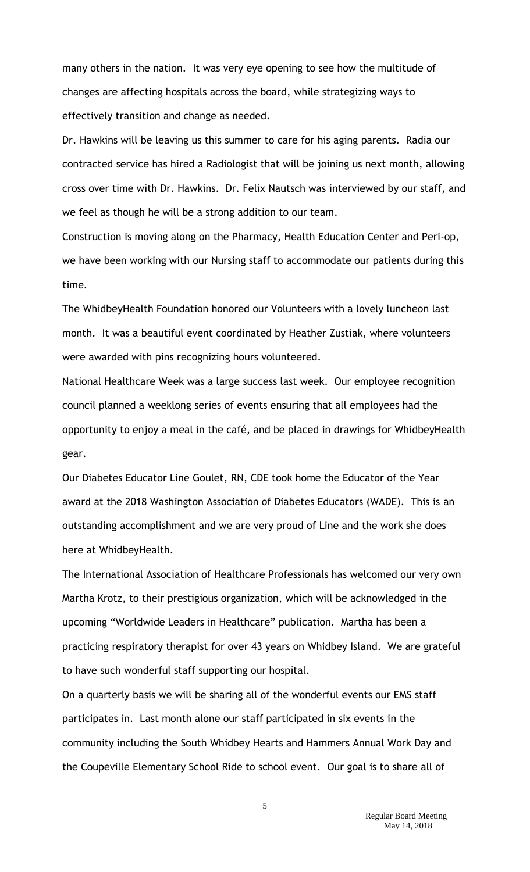many others in the nation. It was very eye opening to see how the multitude of changes are affecting hospitals across the board, while strategizing ways to effectively transition and change as needed.

Dr. Hawkins will be leaving us this summer to care for his aging parents. Radia our contracted service has hired a Radiologist that will be joining us next month, allowing cross over time with Dr. Hawkins. Dr. Felix Nautsch was interviewed by our staff, and we feel as though he will be a strong addition to our team.

Construction is moving along on the Pharmacy, Health Education Center and Peri-op, we have been working with our Nursing staff to accommodate our patients during this time.

The WhidbeyHealth Foundation honored our Volunteers with a lovely luncheon last month. It was a beautiful event coordinated by Heather Zustiak, where volunteers were awarded with pins recognizing hours volunteered.

National Healthcare Week was a large success last week. Our employee recognition council planned a weeklong series of events ensuring that all employees had the opportunity to enjoy a meal in the café, and be placed in drawings for WhidbeyHealth gear.

Our Diabetes Educator Line Goulet, RN, CDE took home the Educator of the Year award at the 2018 Washington Association of Diabetes Educators (WADE). This is an outstanding accomplishment and we are very proud of Line and the work she does here at WhidbeyHealth.

The International Association of Healthcare Professionals has welcomed our very own Martha Krotz, to their prestigious organization, which will be acknowledged in the upcoming "Worldwide Leaders in Healthcare" publication. Martha has been a practicing respiratory therapist for over 43 years on Whidbey Island. We are grateful to have such wonderful staff supporting our hospital.

On a quarterly basis we will be sharing all of the wonderful events our EMS staff participates in. Last month alone our staff participated in six events in the community including the South Whidbey Hearts and Hammers Annual Work Day and the Coupeville Elementary School Ride to school event. Our goal is to share all of

5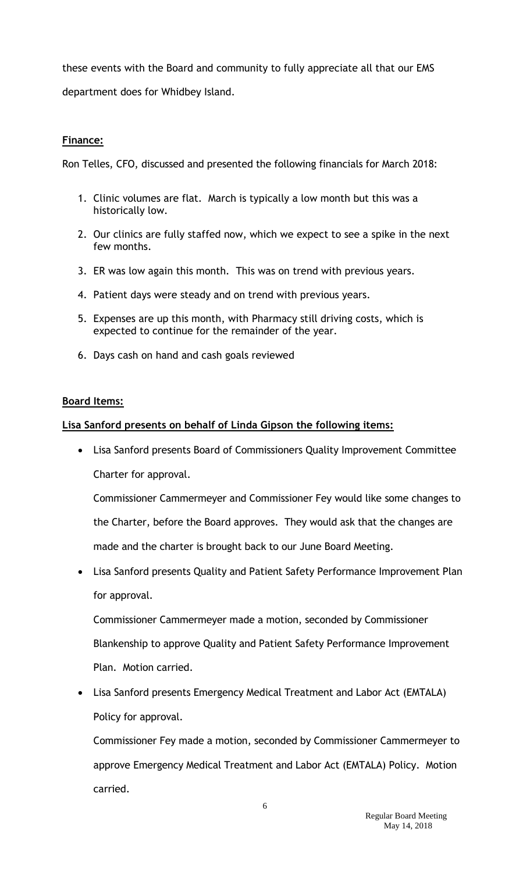these events with the Board and community to fully appreciate all that our EMS department does for Whidbey Island.

# **Finance:**

Ron Telles, CFO, discussed and presented the following financials for March 2018:

- 1. Clinic volumes are flat. March is typically a low month but this was a historically low.
- 2. Our clinics are fully staffed now, which we expect to see a spike in the next few months.
- 3. ER was low again this month. This was on trend with previous years.
- 4. Patient days were steady and on trend with previous years.
- 5. Expenses are up this month, with Pharmacy still driving costs, which is expected to continue for the remainder of the year.
- 6. Days cash on hand and cash goals reviewed

# **Board Items:**

# **Lisa Sanford presents on behalf of Linda Gipson the following items:**

 Lisa Sanford presents Board of Commissioners Quality Improvement Committee Charter for approval.

Commissioner Cammermeyer and Commissioner Fey would like some changes to the Charter, before the Board approves. They would ask that the changes are made and the charter is brought back to our June Board Meeting.

 Lisa Sanford presents Quality and Patient Safety Performance Improvement Plan for approval.

Commissioner Cammermeyer made a motion, seconded by Commissioner Blankenship to approve Quality and Patient Safety Performance Improvement Plan. Motion carried.

 Lisa Sanford presents Emergency Medical Treatment and Labor Act (EMTALA) Policy for approval.

Commissioner Fey made a motion, seconded by Commissioner Cammermeyer to approve Emergency Medical Treatment and Labor Act (EMTALA) Policy. Motion carried.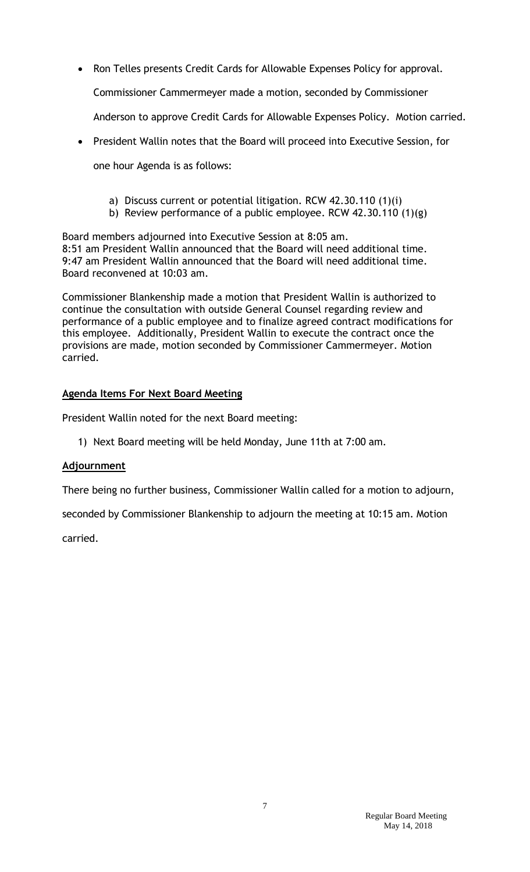Ron Telles presents Credit Cards for Allowable Expenses Policy for approval.

Commissioner Cammermeyer made a motion, seconded by Commissioner

Anderson to approve Credit Cards for Allowable Expenses Policy. Motion carried.

President Wallin notes that the Board will proceed into Executive Session, for

one hour Agenda is as follows:

- a) Discuss current or potential litigation. RCW 42.30.110 (1)(i)
- b) Review performance of a public employee. RCW 42.30.110 (1)(g)

Board members adjourned into Executive Session at 8:05 am. 8:51 am President Wallin announced that the Board will need additional time. 9:47 am President Wallin announced that the Board will need additional time. Board reconvened at 10:03 am.

Commissioner Blankenship made a motion that President Wallin is authorized to continue the consultation with outside General Counsel regarding review and performance of a public employee and to finalize agreed contract modifications for this employee. Additionally, President Wallin to execute the contract once the provisions are made, motion seconded by Commissioner Cammermeyer. Motion carried.

# **Agenda Items For Next Board Meeting**

President Wallin noted for the next Board meeting:

1) Next Board meeting will be held Monday, June 11th at 7:00 am.

# **Adjournment**

There being no further business, Commissioner Wallin called for a motion to adjourn,

seconded by Commissioner Blankenship to adjourn the meeting at 10:15 am. Motion

carried.